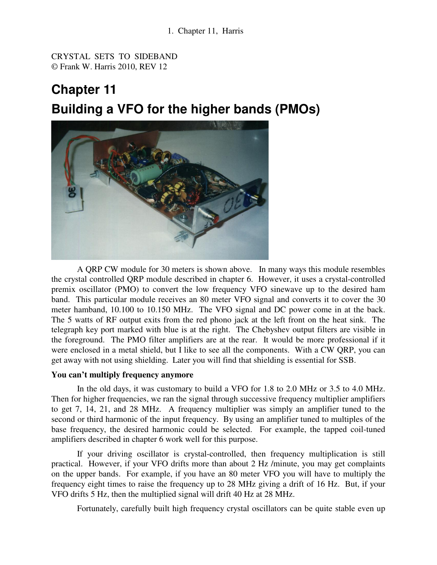CRYSTAL SETS TO SIDEBAND © Frank W. Harris 2010, REV 12

# **Chapter 11 Building a VFO for the higher bands (PMOs)**



 A QRP CW module for 30 meters is shown above. In many ways this module resembles the crystal controlled QRP module described in chapter 6. However, it uses a crystal-controlled premix oscillator (PMO) to convert the low frequency VFO sinewave up to the desired ham band. This particular module receives an 80 meter VFO signal and converts it to cover the 30 meter hamband, 10.100 to 10.150 MHz. The VFO signal and DC power come in at the back. The 5 watts of RF output exits from the red phono jack at the left front on the heat sink. The telegraph key port marked with blue is at the right. The Chebyshev output filters are visible in the foreground. The PMO filter amplifiers are at the rear. It would be more professional if it were enclosed in a metal shield, but I like to see all the components. With a CW QRP, you can get away with not using shielding. Later you will find that shielding is essential for SSB.

## **You can't multiply frequency anymore**

 In the old days, it was customary to build a VFO for 1.8 to 2.0 MHz or 3.5 to 4.0 MHz. Then for higher frequencies, we ran the signal through successive frequency multiplier amplifiers to get 7, 14, 21, and 28 MHz. A frequency multiplier was simply an amplifier tuned to the second or third harmonic of the input frequency. By using an amplifier tuned to multiples of the base frequency, the desired harmonic could be selected. For example, the tapped coil-tuned amplifiers described in chapter 6 work well for this purpose.

If your driving oscillator is crystal-controlled, then frequency multiplication is still practical. However, if your VFO drifts more than about 2 Hz /minute, you may get complaints on the upper bands. For example, if you have an 80 meter VFO you will have to multiply the frequency eight times to raise the frequency up to 28 MHz giving a drift of 16 Hz. But, if your VFO drifts 5 Hz, then the multiplied signal will drift 40 Hz at 28 MHz.

Fortunately, carefully built high frequency crystal oscillators can be quite stable even up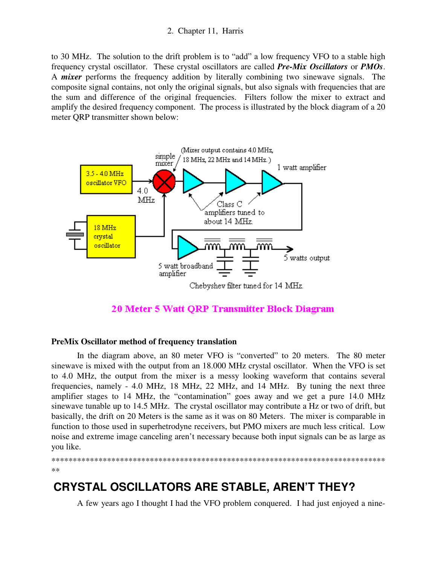to 30 MHz. The solution to the drift problem is to "add" a low frequency VFO to a stable high frequency crystal oscillator. These crystal oscillators are called *Pre-Mix Oscillators* or *PMOs*. A *mixer* performs the frequency addition by literally combining two sinewave signals. The composite signal contains, not only the original signals, but also signals with frequencies that are the sum and difference of the original frequencies. Filters follow the mixer to extract and amplify the desired frequency component. The process is illustrated by the block diagram of a 20 meter QRP transmitter shown below:



## 20 Meter 5 Watt QRP Transmitter Block Diagram

## **PreMix Oscillator method of frequency translation**

 In the diagram above, an 80 meter VFO is "converted" to 20 meters. The 80 meter sinewave is mixed with the output from an 18.000 MHz crystal oscillator. When the VFO is set to 4.0 MHz, the output from the mixer is a messy looking waveform that contains several frequencies, namely - 4.0 MHz, 18 MHz, 22 MHz, and 14 MHz. By tuning the next three amplifier stages to 14 MHz, the "contamination" goes away and we get a pure 14.0 MHz sinewave tunable up to 14.5 MHz. The crystal oscillator may contribute a Hz or two of drift, but basically, the drift on 20 Meters is the same as it was on 80 Meters. The mixer is comparable in function to those used in superhetrodyne receivers, but PMO mixers are much less critical. Low noise and extreme image canceling aren't necessary because both input signals can be as large as you like.

```
******************************************************************************
```
#### \*\*

## **CRYSTAL OSCILLATORS ARE STABLE, AREN'T THEY?**

A few years ago I thought I had the VFO problem conquered. I had just enjoyed a nine-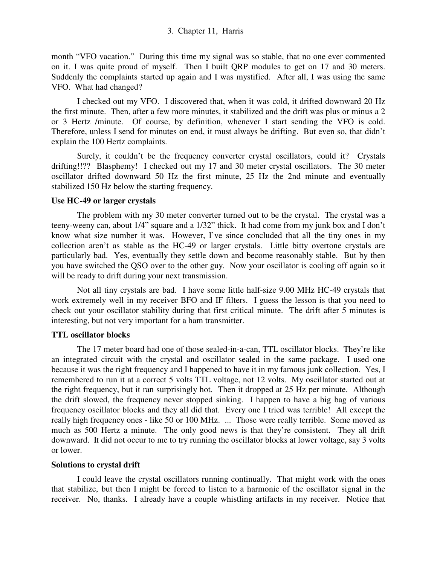month "VFO vacation." During this time my signal was so stable, that no one ever commented on it. I was quite proud of myself. Then I built QRP modules to get on 17 and 30 meters. Suddenly the complaints started up again and I was mystified. After all, I was using the same VFO. What had changed?

 I checked out my VFO. I discovered that, when it was cold, it drifted downward 20 Hz the first minute. Then, after a few more minutes, it stabilized and the drift was plus or minus a 2 or 3 Hertz /minute. Of course, by definition, whenever I start sending the VFO is cold. Therefore, unless I send for minutes on end, it must always be drifting. But even so, that didn't explain the 100 Hertz complaints.

Surely, it couldn't be the frequency converter crystal oscillators, could it? Crystals drifting!!?? Blasphemy! I checked out my 17 and 30 meter crystal oscillators. The 30 meter oscillator drifted downward 50 Hz the first minute, 25 Hz the 2nd minute and eventually stabilized 150 Hz below the starting frequency.

#### **Use HC-49 or larger crystals**

 The problem with my 30 meter converter turned out to be the crystal. The crystal was a teeny-weeny can, about 1/4" square and a 1/32" thick. It had come from my junk box and I don't know what size number it was. However, I've since concluded that all the tiny ones in my collection aren't as stable as the HC-49 or larger crystals. Little bitty overtone crystals are particularly bad. Yes, eventually they settle down and become reasonably stable. But by then you have switched the QSO over to the other guy. Now your oscillator is cooling off again so it will be ready to drift during your next transmission.

 Not all tiny crystals are bad. I have some little half-size 9.00 MHz HC-49 crystals that work extremely well in my receiver BFO and IF filters. I guess the lesson is that you need to check out your oscillator stability during that first critical minute. The drift after 5 minutes is interesting, but not very important for a ham transmitter.

## **TTL oscillator blocks**

 The 17 meter board had one of those sealed-in-a-can, TTL oscillator blocks. They're like an integrated circuit with the crystal and oscillator sealed in the same package. I used one because it was the right frequency and I happened to have it in my famous junk collection. Yes, I remembered to run it at a correct 5 volts TTL voltage, not 12 volts. My oscillator started out at the right frequency, but it ran surprisingly hot. Then it dropped at 25 Hz per minute. Although the drift slowed, the frequency never stopped sinking. I happen to have a big bag of various frequency oscillator blocks and they all did that. Every one I tried was terrible! All except the really high frequency ones - like 50 or 100 MHz. ... Those were really terrible. Some moved as much as 500 Hertz a minute. The only good news is that they're consistent. They all drift downward. It did not occur to me to try running the oscillator blocks at lower voltage, say 3 volts or lower.

## **Solutions to crystal drift**

 I could leave the crystal oscillators running continually. That might work with the ones that stabilize, but then I might be forced to listen to a harmonic of the oscillator signal in the receiver. No, thanks. I already have a couple whistling artifacts in my receiver. Notice that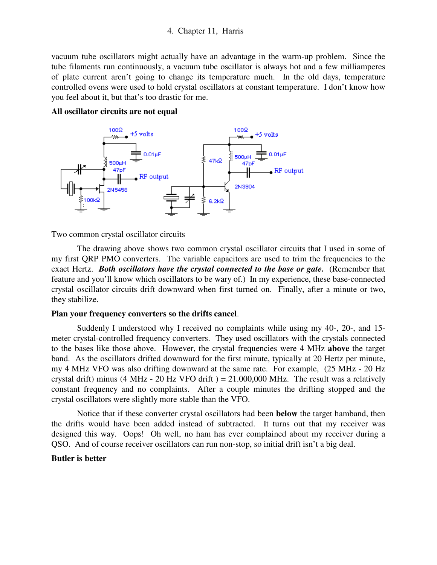vacuum tube oscillators might actually have an advantage in the warm-up problem. Since the tube filaments run continuously, a vacuum tube oscillator is always hot and a few milliamperes of plate current aren't going to change its temperature much. In the old days, temperature controlled ovens were used to hold crystal oscillators at constant temperature. I don't know how you feel about it, but that's too drastic for me.

#### **All oscillator circuits are not equal**



Two common crystal oscillator circuits

 The drawing above shows two common crystal oscillator circuits that I used in some of my first QRP PMO converters. The variable capacitors are used to trim the frequencies to the exact Hertz. *Both oscillators have the crystal connected to the base or gate.* (Remember that feature and you'll know which oscillators to be wary of.) In my experience, these base-connected crystal oscillator circuits drift downward when first turned on. Finally, after a minute or two, they stabilize.

#### **Plan your frequency converters so the drifts cancel**.

 Suddenly I understood why I received no complaints while using my 40-, 20-, and 15 meter crystal-controlled frequency converters. They used oscillators with the crystals connected to the bases like those above. However, the crystal frequencies were 4 MHz **above** the target band. As the oscillators drifted downward for the first minute, typically at 20 Hertz per minute, my 4 MHz VFO was also drifting downward at the same rate. For example, (25 MHz - 20 Hz crystal drift) minus (4 MHz - 20 Hz VFO drift  $= 21.000,000$  MHz. The result was a relatively constant frequency and no complaints. After a couple minutes the drifting stopped and the crystal oscillators were slightly more stable than the VFO.

 Notice that if these converter crystal oscillators had been **below** the target hamband, then the drifts would have been added instead of subtracted. It turns out that my receiver was designed this way. Oops! Oh well, no ham has ever complained about my receiver during a QSO. And of course receiver oscillators can run non-stop, so initial drift isn't a big deal.

#### **Butler is better**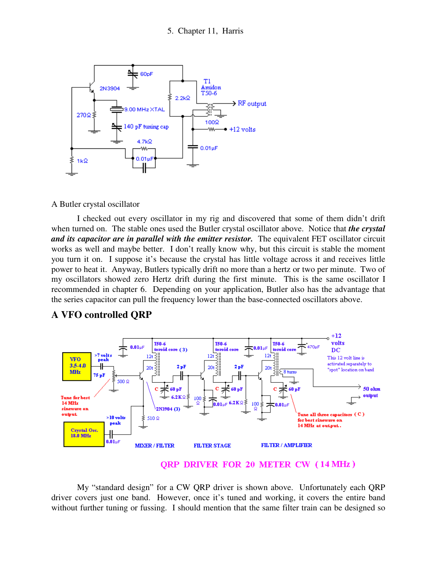

A Butler crystal oscillator

 I checked out every oscillator in my rig and discovered that some of them didn't drift when turned on. The stable ones used the Butler crystal oscillator above. Notice that *the crystal and its capacitor are in parallel with the emitter resistor.* The equivalent FET oscillator circuit works as well and maybe better. I don't really know why, but this circuit is stable the moment you turn it on. I suppose it's because the crystal has little voltage across it and receives little power to heat it. Anyway, Butlers typically drift no more than a hertz or two per minute. Two of my oscillators showed zero Hertz drift during the first minute. This is the same oscillator I recommended in chapter 6. Depending on your application, Butler also has the advantage that the series capacitor can pull the frequency lower than the base-connected oscillators above.



## **A VFO controlled QRP**

#### **QRP DRIVER FOR 20 METER CW (14 MHz)**

 My "standard design" for a CW QRP driver is shown above. Unfortunately each QRP driver covers just one band. However, once it's tuned and working, it covers the entire band without further tuning or fussing. I should mention that the same filter train can be designed so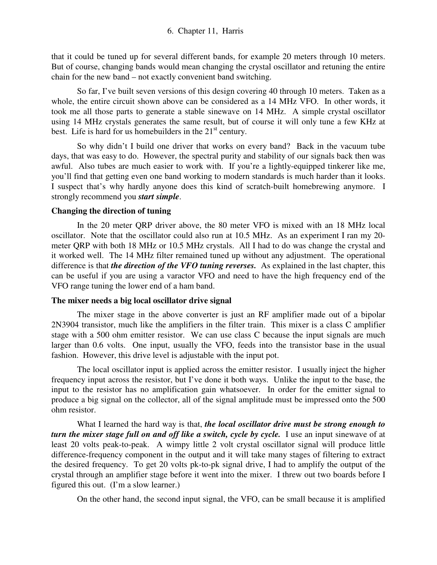that it could be tuned up for several different bands, for example 20 meters through 10 meters. But of course, changing bands would mean changing the crystal oscillator and retuning the entire chain for the new band – not exactly convenient band switching.

So far, I've built seven versions of this design covering 40 through 10 meters. Taken as a whole, the entire circuit shown above can be considered as a 14 MHz VFO. In other words, it took me all those parts to generate a stable sinewave on 14 MHz. A simple crystal oscillator using 14 MHz crystals generates the same result, but of course it will only tune a few KHz at best. Life is hard for us homebuilders in the  $21<sup>st</sup>$  century.

 So why didn't I build one driver that works on every band? Back in the vacuum tube days, that was easy to do. However, the spectral purity and stability of our signals back then was awful. Also tubes are much easier to work with. If you're a lightly-equipped tinkerer like me, you'll find that getting even one band working to modern standards is much harder than it looks. I suspect that's why hardly anyone does this kind of scratch-built homebrewing anymore. I strongly recommend you *start simple*.

## **Changing the direction of tuning**

 In the 20 meter QRP driver above, the 80 meter VFO is mixed with an 18 MHz local oscillator. Note that the oscillator could also run at 10.5 MHz. As an experiment I ran my 20 meter QRP with both 18 MHz or 10.5 MHz crystals. All I had to do was change the crystal and it worked well. The 14 MHz filter remained tuned up without any adjustment. The operational difference is that *the direction of the VFO tuning reverses.* As explained in the last chapter, this can be useful if you are using a varactor VFO and need to have the high frequency end of the VFO range tuning the lower end of a ham band.

## **The mixer needs a big local oscillator drive signal**

 The mixer stage in the above converter is just an RF amplifier made out of a bipolar 2N3904 transistor, much like the amplifiers in the filter train. This mixer is a class C amplifier stage with a 500 ohm emitter resistor. We can use class C because the input signals are much larger than 0.6 volts. One input, usually the VFO, feeds into the transistor base in the usual fashion. However, this drive level is adjustable with the input pot.

The local oscillator input is applied across the emitter resistor. I usually inject the higher frequency input across the resistor, but I've done it both ways. Unlike the input to the base, the input to the resistor has no amplification gain whatsoever. In order for the emitter signal to produce a big signal on the collector, all of the signal amplitude must be impressed onto the 500 ohm resistor.

What I learned the hard way is that, *the local oscillator drive must be strong enough to turn the mixer stage full on and off like a switch, cycle by cycle.* I use an input sinewave of at least 20 volts peak-to-peak. A wimpy little 2 volt crystal oscillator signal will produce little difference-frequency component in the output and it will take many stages of filtering to extract the desired frequency. To get 20 volts pk-to-pk signal drive, I had to amplify the output of the crystal through an amplifier stage before it went into the mixer. I threw out two boards before I figured this out. (I'm a slow learner.)

On the other hand, the second input signal, the VFO, can be small because it is amplified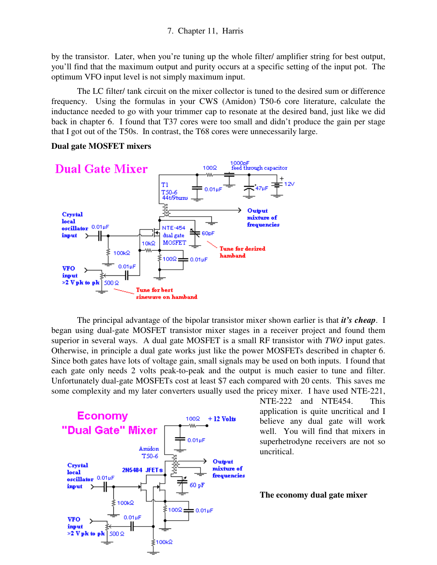by the transistor. Later, when you're tuning up the whole filter/ amplifier string for best output, you'll find that the maximum output and purity occurs at a specific setting of the input pot. The optimum VFO input level is not simply maximum input.

 The LC filter/ tank circuit on the mixer collector is tuned to the desired sum or difference frequency. Using the formulas in your CWS (Amidon) T50-6 core literature, calculate the inductance needed to go with your trimmer cap to resonate at the desired band, just like we did back in chapter 6. I found that T37 cores were too small and didn't produce the gain per stage that I got out of the T50s. In contrast, the T68 cores were unnecessarily large.



**Dual gate MOSFET mixers** 

 The principal advantage of the bipolar transistor mixer shown earlier is that *it's cheap*. I began using dual-gate MOSFET transistor mixer stages in a receiver project and found them superior in several ways. A dual gate MOSFET is a small RF transistor with *TWO* input gates. Otherwise, in principle a dual gate works just like the power MOSFETs described in chapter 6. Since both gates have lots of voltage gain, small signals may be used on both inputs. I found that each gate only needs 2 volts peak-to-peak and the output is much easier to tune and filter. Unfortunately dual-gate MOSFETs cost at least \$7 each compared with 20 cents. This saves me some complexity and my later converters usually used the pricey mixer. I have used NTE-221,



NTE-222 and NTE454. This application is quite uncritical and I believe any dual gate will work well. You will find that mixers in superhetrodyne receivers are not so uncritical.

#### **The economy dual gate mixer**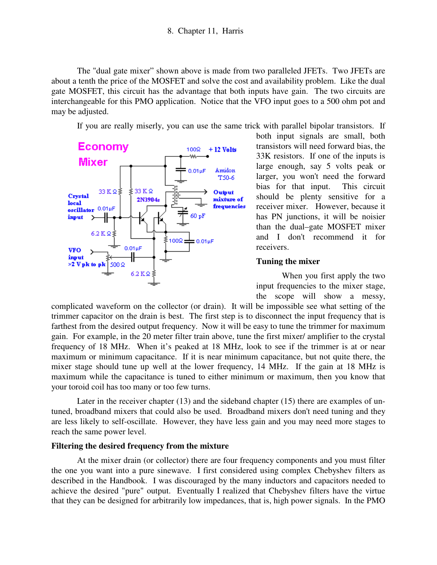The "dual gate mixer" shown above is made from two paralleled JFETs. Two JFETs are about a tenth the price of the MOSFET and solve the cost and availability problem. Like the dual gate MOSFET, this circuit has the advantage that both inputs have gain. The two circuits are interchangeable for this PMO application. Notice that the VFO input goes to a 500 ohm pot and may be adjusted.

If you are really miserly, you can use the same trick with parallel bipolar transistors. If



both input signals are small, both transistors will need forward bias, the 33K resistors. If one of the inputs is large enough, say 5 volts peak or larger, you won't need the forward bias for that input. This circuit should be plenty sensitive for a receiver mixer. However, because it has PN junctions, it will be noisier than the dual–gate MOSFET mixer and I don't recommend it for receivers.

#### **Tuning the mixer**

 When you first apply the two input frequencies to the mixer stage, the scope will show a messy,

complicated waveform on the collector (or drain). It will be impossible see what setting of the trimmer capacitor on the drain is best. The first step is to disconnect the input frequency that is farthest from the desired output frequency. Now it will be easy to tune the trimmer for maximum gain. For example, in the 20 meter filter train above, tune the first mixer/ amplifier to the crystal frequency of 18 MHz. When it's peaked at 18 MHz, look to see if the trimmer is at or near maximum or minimum capacitance. If it is near minimum capacitance, but not quite there, the mixer stage should tune up well at the lower frequency, 14 MHz. If the gain at 18 MHz is maximum while the capacitance is tuned to either minimum or maximum, then you know that your toroid coil has too many or too few turns.

Later in the receiver chapter (13) and the sideband chapter (15) there are examples of untuned, broadband mixers that could also be used. Broadband mixers don't need tuning and they are less likely to self-oscillate. However, they have less gain and you may need more stages to reach the same power level.

## **Filtering the desired frequency from the mixture**

 At the mixer drain (or collector) there are four frequency components and you must filter the one you want into a pure sinewave. I first considered using complex Chebyshev filters as described in the Handbook. I was discouraged by the many inductors and capacitors needed to achieve the desired "pure" output. Eventually I realized that Chebyshev filters have the virtue that they can be designed for arbitrarily low impedances, that is, high power signals. In the PMO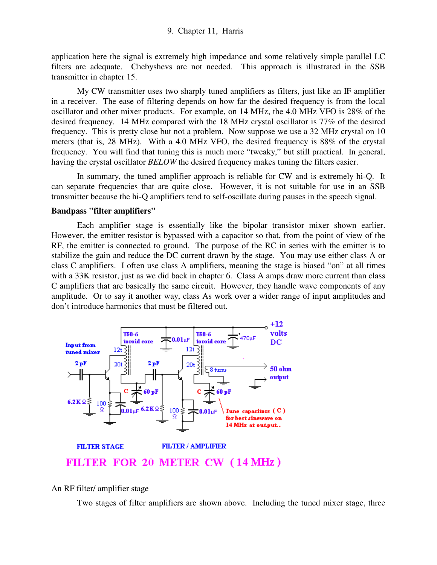application here the signal is extremely high impedance and some relatively simple parallel LC filters are adequate. Chebyshevs are not needed. This approach is illustrated in the SSB transmitter in chapter 15.

My CW transmitter uses two sharply tuned amplifiers as filters, just like an IF amplifier in a receiver. The ease of filtering depends on how far the desired frequency is from the local oscillator and other mixer products. For example, on 14 MHz, the 4.0 MHz VFO is 28% of the desired frequency. 14 MHz compared with the 18 MHz crystal oscillator is 77% of the desired frequency. This is pretty close but not a problem. Now suppose we use a 32 MHz crystal on 10 meters (that is, 28 MHz). With a 4.0 MHz VFO, the desired frequency is 88% of the crystal frequency. You will find that tuning this is much more "tweaky," but still practical. In general, having the crystal oscillator *BELOW* the desired frequency makes tuning the filters easier.

In summary, the tuned amplifier approach is reliable for CW and is extremely hi-Q. It can separate frequencies that are quite close. However, it is not suitable for use in an SSB transmitter because the hi-Q amplifiers tend to self-oscillate during pauses in the speech signal.

#### **Bandpass "filter amplifiers"**

 Each amplifier stage is essentially like the bipolar transistor mixer shown earlier. However, the emitter resistor is bypassed with a capacitor so that, from the point of view of the RF, the emitter is connected to ground. The purpose of the RC in series with the emitter is to stabilize the gain and reduce the DC current drawn by the stage. You may use either class A or class C amplifiers. I often use class A amplifiers, meaning the stage is biased "on" at all times with a 33K resistor, just as we did back in chapter 6. Class A amps draw more current than class C amplifiers that are basically the same circuit. However, they handle wave components of any amplitude. Or to say it another way, class As work over a wider range of input amplitudes and don't introduce harmonics that must be filtered out.



An RF filter/ amplifier stage

Two stages of filter amplifiers are shown above. Including the tuned mixer stage, three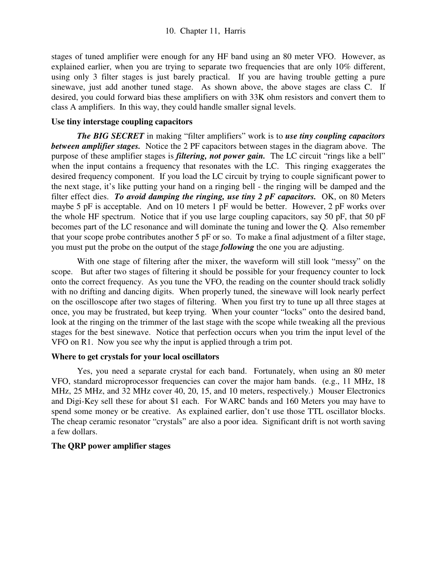stages of tuned amplifier were enough for any HF band using an 80 meter VFO. However, as explained earlier, when you are trying to separate two frequencies that are only 10% different, using only 3 filter stages is just barely practical. If you are having trouble getting a pure sinewave, just add another tuned stage. As shown above, the above stages are class C. If desired, you could forward bias these amplifiers on with 33K ohm resistors and convert them to class A amplifiers. In this way, they could handle smaller signal levels.

## **Use tiny interstage coupling capacitors**

*The BIG SECRET* in making "filter amplifiers" work is to *use tiny coupling capacitors between amplifier stages.* Notice the 2 PF capacitors between stages in the diagram above. The purpose of these amplifier stages is *filtering, not power gain.* The LC circuit "rings like a bell" when the input contains a frequency that resonates with the LC. This ringing exaggerates the desired frequency component. If you load the LC circuit by trying to couple significant power to the next stage, it's like putting your hand on a ringing bell - the ringing will be damped and the filter effect dies. *To avoid damping the ringing, use tiny 2 pF capacitors.* OK, on 80 Meters maybe 5 pF is acceptable. And on 10 meters 1 pF would be better. However, 2 pF works over the whole HF spectrum. Notice that if you use large coupling capacitors, say 50 pF, that 50 pF becomes part of the LC resonance and will dominate the tuning and lower the Q. Also remember that your scope probe contributes another 5 pF or so. To make a final adjustment of a filter stage, you must put the probe on the output of the stage *following* the one you are adjusting.

 With one stage of filtering after the mixer, the waveform will still look "messy" on the scope. But after two stages of filtering it should be possible for your frequency counter to lock onto the correct frequency. As you tune the VFO, the reading on the counter should track solidly with no drifting and dancing digits. When properly tuned, the sinewave will look nearly perfect on the oscilloscope after two stages of filtering. When you first try to tune up all three stages at once, you may be frustrated, but keep trying. When your counter "locks" onto the desired band, look at the ringing on the trimmer of the last stage with the scope while tweaking all the previous stages for the best sinewave. Notice that perfection occurs when you trim the input level of the VFO on R1. Now you see why the input is applied through a trim pot.

#### **Where to get crystals for your local oscillators**

 Yes, you need a separate crystal for each band. Fortunately, when using an 80 meter VFO, standard microprocessor frequencies can cover the major ham bands. (e.g., 11 MHz, 18 MHz, 25 MHz, and 32 MHz cover 40, 20, 15, and 10 meters, respectively.) Mouser Electronics and Digi-Key sell these for about \$1 each. For WARC bands and 160 Meters you may have to spend some money or be creative. As explained earlier, don't use those TTL oscillator blocks. The cheap ceramic resonator "crystals" are also a poor idea. Significant drift is not worth saving a few dollars.

## **The QRP power amplifier stages**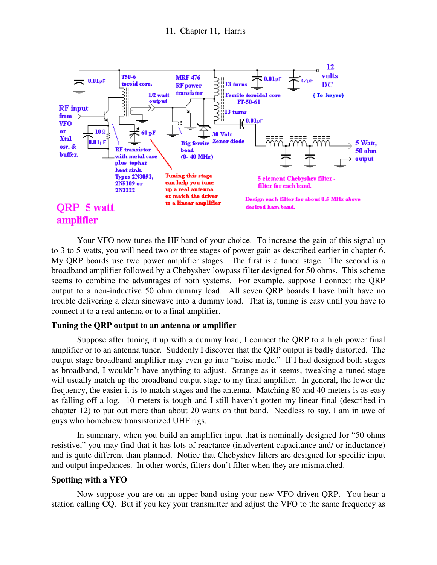

 Your VFO now tunes the HF band of your choice. To increase the gain of this signal up to 3 to 5 watts, you will need two or three stages of power gain as described earlier in chapter 6. My QRP boards use two power amplifier stages. The first is a tuned stage. The second is a broadband amplifier followed by a Chebyshev lowpass filter designed for 50 ohms. This scheme seems to combine the advantages of both systems. For example, suppose I connect the QRP output to a non-inductive 50 ohm dummy load. All seven QRP boards I have built have no trouble delivering a clean sinewave into a dummy load. That is, tuning is easy until you have to connect it to a real antenna or to a final amplifier.

#### **Tuning the QRP output to an antenna or amplifier**

 Suppose after tuning it up with a dummy load, I connect the QRP to a high power final amplifier or to an antenna tuner. Suddenly I discover that the QRP output is badly distorted. The output stage broadband amplifier may even go into "noise mode." If I had designed both stages as broadband, I wouldn't have anything to adjust. Strange as it seems, tweaking a tuned stage will usually match up the broadband output stage to my final amplifier. In general, the lower the frequency, the easier it is to match stages and the antenna. Matching 80 and 40 meters is as easy as falling off a log. 10 meters is tough and I still haven't gotten my linear final (described in chapter 12) to put out more than about 20 watts on that band. Needless to say, I am in awe of guys who homebrew transistorized UHF rigs.

 In summary, when you build an amplifier input that is nominally designed for "50 ohms resistive," you may find that it has lots of reactance (inadvertent capacitance and/ or inductance) and is quite different than planned. Notice that Chebyshev filters are designed for specific input and output impedances. In other words, filters don't filter when they are mismatched.

#### **Spotting with a VFO**

 Now suppose you are on an upper band using your new VFO driven QRP. You hear a station calling CQ. But if you key your transmitter and adjust the VFO to the same frequency as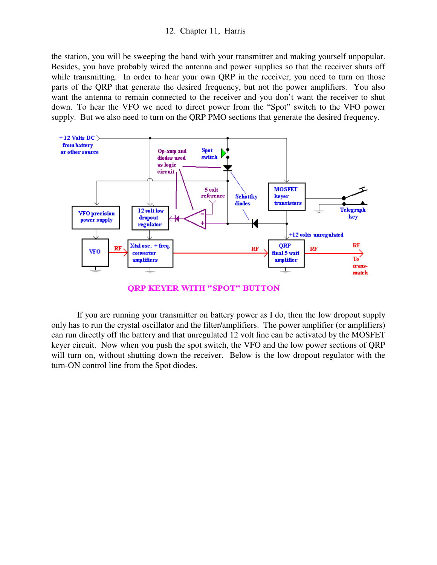the station, you will be sweeping the band with your transmitter and making yourself unpopular. Besides, you have probably wired the antenna and power supplies so that the receiver shuts off while transmitting. In order to hear your own QRP in the receiver, you need to turn on those parts of the QRP that generate the desired frequency, but not the power amplifiers. You also want the antenna to remain connected to the receiver and you don't want the receiver to shut down. To hear the VFO we need to direct power from the "Spot" switch to the VFO power supply. But we also need to turn on the QRP PMO sections that generate the desired frequency.



**QRP KEYER WITH "SPOT" BUTTON** 

 If you are running your transmitter on battery power as I do, then the low dropout supply only has to run the crystal oscillator and the filter/amplifiers. The power amplifier (or amplifiers) can run directly off the battery and that unregulated 12 volt line can be activated by the MOSFET keyer circuit. Now when you push the spot switch, the VFO and the low power sections of QRP will turn on, without shutting down the receiver. Below is the low dropout regulator with the turn-ON control line from the Spot diodes.